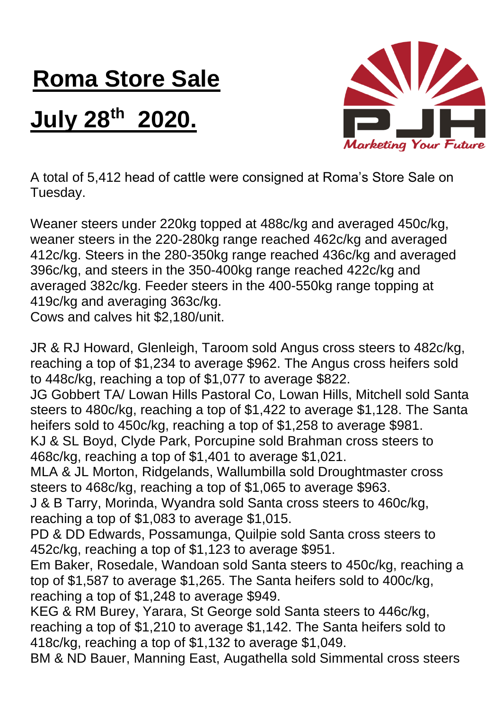## **Roma Store Sale**

## **July 28 th 2020.**



A total of 5,412 head of cattle were consigned at Roma's Store Sale on Tuesday.

Weaner steers under 220kg topped at 488c/kg and averaged 450c/kg, weaner steers in the 220-280kg range reached 462c/kg and averaged 412c/kg. Steers in the 280-350kg range reached 436c/kg and averaged 396c/kg, and steers in the 350-400kg range reached 422c/kg and averaged 382c/kg. Feeder steers in the 400-550kg range topping at 419c/kg and averaging 363c/kg.

Cows and calves hit \$2,180/unit.

JR & RJ Howard, Glenleigh, Taroom sold Angus cross steers to 482c/kg, reaching a top of \$1,234 to average \$962. The Angus cross heifers sold to 448c/kg, reaching a top of \$1,077 to average \$822.

JG Gobbert TA/ Lowan Hills Pastoral Co, Lowan Hills, Mitchell sold Santa steers to 480c/kg, reaching a top of \$1,422 to average \$1,128. The Santa heifers sold to 450c/kg, reaching a top of \$1,258 to average \$981. KJ & SL Boyd, Clyde Park, Porcupine sold Brahman cross steers to

468c/kg, reaching a top of \$1,401 to average \$1,021.

MLA & JL Morton, Ridgelands, Wallumbilla sold Droughtmaster cross steers to 468c/kg, reaching a top of \$1,065 to average \$963.

J & B Tarry, Morinda, Wyandra sold Santa cross steers to 460c/kg, reaching a top of \$1,083 to average \$1,015.

PD & DD Edwards, Possamunga, Quilpie sold Santa cross steers to 452c/kg, reaching a top of \$1,123 to average \$951.

Em Baker, Rosedale, Wandoan sold Santa steers to 450c/kg, reaching a top of \$1,587 to average \$1,265. The Santa heifers sold to 400c/kg, reaching a top of \$1,248 to average \$949.

KEG & RM Burey, Yarara, St George sold Santa steers to 446c/kg, reaching a top of \$1,210 to average \$1,142. The Santa heifers sold to 418c/kg, reaching a top of \$1,132 to average \$1,049.

BM & ND Bauer, Manning East, Augathella sold Simmental cross steers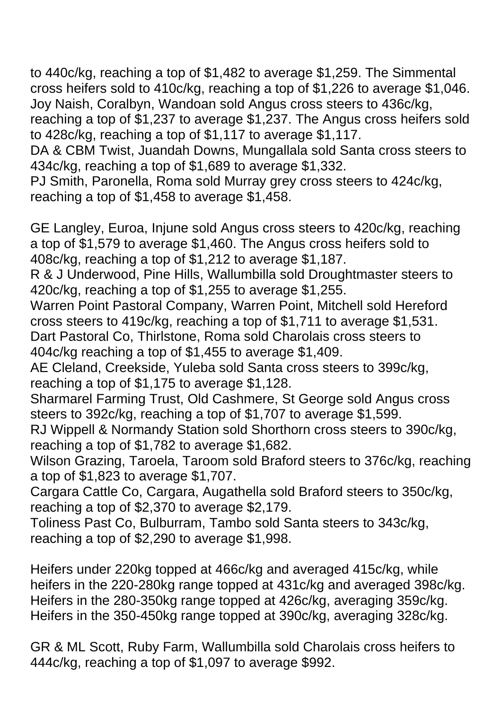to 440c/kg, reaching a top of \$1,482 to average \$1,259. The Simmental cross heifers sold to 410c/kg, reaching a top of \$1,226 to average \$1,046. Joy Naish, Coralbyn, Wandoan sold Angus cross steers to 436c/kg,

reaching a top of \$1,237 to average \$1,237. The Angus cross heifers sold to 428c/kg, reaching a top of \$1,117 to average \$1,117.

DA & CBM Twist, Juandah Downs, Mungallala sold Santa cross steers to 434c/kg, reaching a top of \$1,689 to average \$1,332.

PJ Smith, Paronella, Roma sold Murray grey cross steers to 424c/kg, reaching a top of \$1,458 to average \$1,458.

GE Langley, Euroa, Injune sold Angus cross steers to 420c/kg, reaching a top of \$1,579 to average \$1,460. The Angus cross heifers sold to 408c/kg, reaching a top of \$1,212 to average \$1,187.

R & J Underwood, Pine Hills, Wallumbilla sold Droughtmaster steers to 420c/kg, reaching a top of \$1,255 to average \$1,255.

Warren Point Pastoral Company, Warren Point, Mitchell sold Hereford cross steers to 419c/kg, reaching a top of \$1,711 to average \$1,531. Dart Pastoral Co, Thirlstone, Roma sold Charolais cross steers to 404c/kg reaching a top of \$1,455 to average \$1,409.

AE Cleland, Creekside, Yuleba sold Santa cross steers to 399c/kg, reaching a top of \$1,175 to average \$1,128.

Sharmarel Farming Trust, Old Cashmere, St George sold Angus cross steers to 392c/kg, reaching a top of \$1,707 to average \$1,599.

RJ Wippell & Normandy Station sold Shorthorn cross steers to 390c/kg, reaching a top of \$1,782 to average \$1,682.

Wilson Grazing, Taroela, Taroom sold Braford steers to 376c/kg, reaching a top of \$1,823 to average \$1,707.

Cargara Cattle Co, Cargara, Augathella sold Braford steers to 350c/kg, reaching a top of \$2,370 to average \$2,179.

Toliness Past Co, Bulburram, Tambo sold Santa steers to 343c/kg, reaching a top of \$2,290 to average \$1,998.

Heifers under 220kg topped at 466c/kg and averaged 415c/kg, while heifers in the 220-280kg range topped at 431c/kg and averaged 398c/kg. Heifers in the 280-350kg range topped at 426c/kg, averaging 359c/kg. Heifers in the 350-450kg range topped at 390c/kg, averaging 328c/kg.

GR & ML Scott, Ruby Farm, Wallumbilla sold Charolais cross heifers to 444c/kg, reaching a top of \$1,097 to average \$992.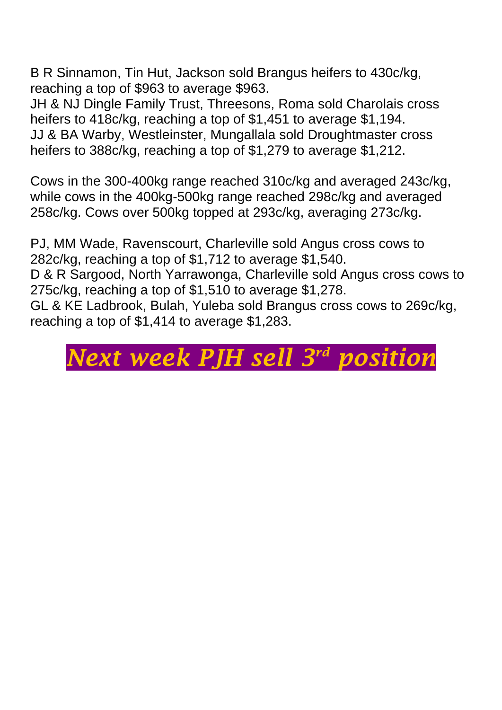B R Sinnamon, Tin Hut, Jackson sold Brangus heifers to 430c/kg, reaching a top of \$963 to average \$963.

JH & NJ Dingle Family Trust, Threesons, Roma sold Charolais cross heifers to 418c/kg, reaching a top of \$1,451 to average \$1,194. JJ & BA Warby, Westleinster, Mungallala sold Droughtmaster cross heifers to 388c/kg, reaching a top of \$1,279 to average \$1,212.

Cows in the 300-400kg range reached 310c/kg and averaged 243c/kg, while cows in the 400kg-500kg range reached 298c/kg and averaged 258c/kg. Cows over 500kg topped at 293c/kg, averaging 273c/kg.

PJ, MM Wade, Ravenscourt, Charleville sold Angus cross cows to 282c/kg, reaching a top of \$1,712 to average \$1,540. D & R Sargood, North Yarrawonga, Charleville sold Angus cross cows to 275c/kg, reaching a top of \$1,510 to average \$1,278.

GL & KE Ladbrook, Bulah, Yuleba sold Brangus cross cows to 269c/kg, reaching a top of \$1,414 to average \$1,283.

## *Next week PJH sell 3 rd position*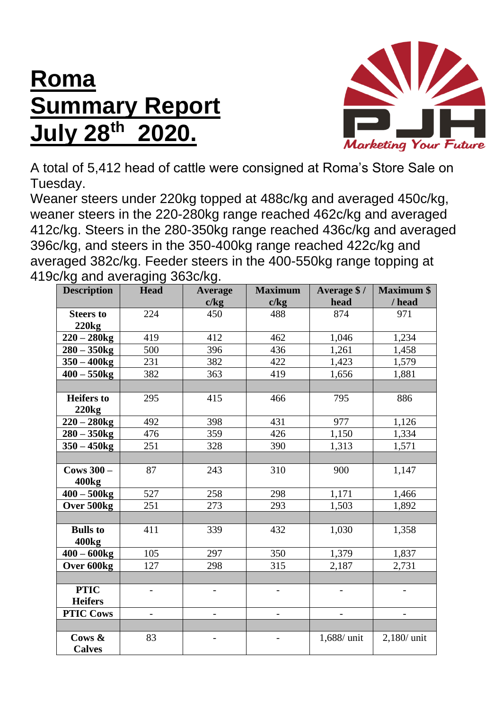## **Roma Summary Report July 28 th 2020.**



A total of 5,412 head of cattle were consigned at Roma's Store Sale on Tuesday.

Weaner steers under 220kg topped at 488c/kg and averaged 450c/kg, weaner steers in the 220-280kg range reached 462c/kg and averaged 412c/kg. Steers in the 280-350kg range reached 436c/kg and averaged 396c/kg, and steers in the 350-400kg range reached 422c/kg and averaged 382c/kg. Feeder steers in the 400-550kg range topping at 419c/kg and averaging 363c/kg.

| <b>Description</b>                | <b>Head</b>              | <b>Average</b>           | <b>Maximum</b>               | Average \$/ | <b>Maximum \$</b> |
|-----------------------------------|--------------------------|--------------------------|------------------------------|-------------|-------------------|
|                                   |                          | c/kg                     | c/kg                         | head        | / head            |
| <b>Steers to</b>                  | 224                      | 450                      | 488                          | 874         | 971               |
| <b>220kg</b>                      |                          |                          |                              |             |                   |
| $220 - 280$ kg                    | 419                      | 412                      | 462                          | 1,046       | 1,234             |
| $280 - 350$ kg                    | 500                      | 396                      | 436                          | 1,261       | 1,458             |
| $350 - 400$ kg                    | 231                      | 382                      | 422                          | 1,423       | 1,579             |
| $400 - 550$ kg                    | 382                      | 363                      | 419                          | 1,656       | 1,881             |
|                                   |                          |                          |                              |             |                   |
| <b>Heifers</b> to                 | 295                      | 415                      | 466                          | 795         | 886               |
| 220kg                             |                          |                          |                              |             |                   |
| $220 - 280$ kg                    | 492                      | 398                      | 431                          | 977         | 1,126             |
| $280 - 350$ kg                    | 476                      | 359                      | 426                          | 1,150       | 1,334             |
| $350 - 450$ kg                    | 251                      | 328                      | 390                          | 1,313       | 1,571             |
|                                   |                          |                          |                              |             |                   |
| Cows $300 -$<br>400 <sub>kg</sub> | 87                       | 243                      | 310                          | 900         | 1,147             |
| $400 - 500$ kg                    | 527                      | 258                      | 298                          | 1,171       | 1,466             |
| Over 500kg                        | 251                      | 273                      | 293                          | 1,503       | 1,892             |
|                                   |                          |                          |                              |             |                   |
| <b>Bulls</b> to                   | 411                      | 339                      | 432                          | 1,030       | 1,358             |
| 400 <sub>kg</sub>                 |                          |                          |                              |             |                   |
| $400 - 600$ kg                    | 105                      | 297                      | 350                          | 1,379       | 1,837             |
| Over 600kg                        | 127                      | 298                      | 315                          | 2,187       | 2,731             |
|                                   |                          |                          |                              |             |                   |
| <b>PTIC</b>                       | $\overline{\phantom{0}}$ | $\overline{\phantom{0}}$ | $\qquad \qquad \blacksquare$ |             |                   |
| <b>Heifers</b>                    |                          |                          |                              |             |                   |
| <b>PTIC Cows</b>                  | $\overline{\phantom{a}}$ | $\qquad \qquad -$        | $\overline{\phantom{m}}$     |             | $\qquad \qquad -$ |
|                                   |                          |                          |                              |             |                   |
| Cows &                            | 83                       |                          |                              | 1,688/ unit | $2,180/$ unit     |
| <b>Calves</b>                     |                          |                          |                              |             |                   |